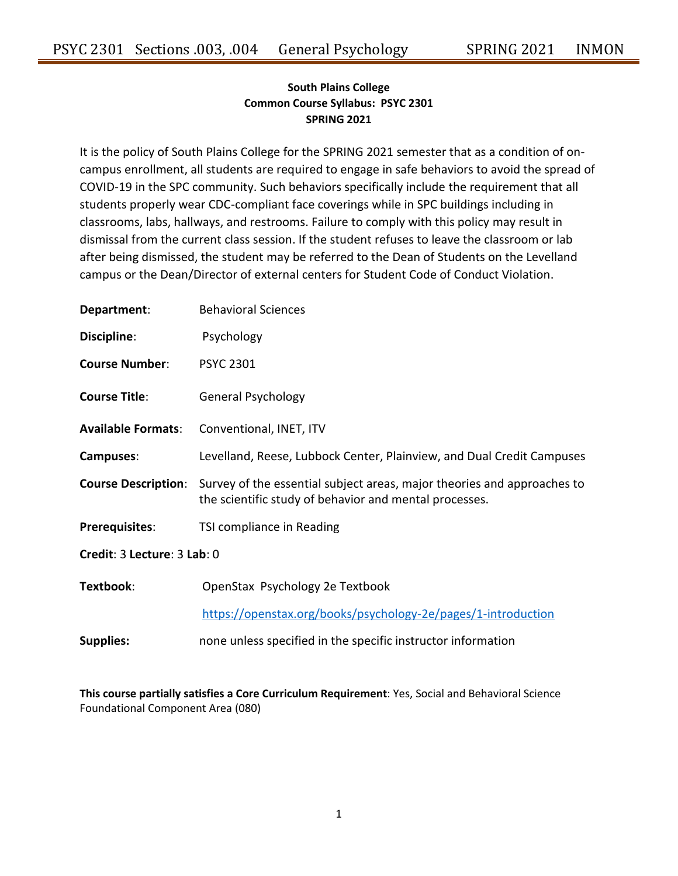# **South Plains College Common Course Syllabus: PSYC 2301 SPRING 2021**

It is the policy of South Plains College for the SPRING 2021 semester that as a condition of oncampus enrollment, all students are required to engage in safe behaviors to avoid the spread of COVID-19 in the SPC community. Such behaviors specifically include the requirement that all students properly wear CDC-compliant face coverings while in SPC buildings including in classrooms, labs, hallways, and restrooms. Failure to comply with this policy may result in dismissal from the current class session. If the student refuses to leave the classroom or lab after being dismissed, the student may be referred to the Dean of Students on the Levelland campus or the Dean/Director of external centers for Student Code of Conduct Violation.

| Department:                 | <b>Behavioral Sciences</b>                                                                                                        |  |  |  |  |
|-----------------------------|-----------------------------------------------------------------------------------------------------------------------------------|--|--|--|--|
| Discipline:                 | Psychology                                                                                                                        |  |  |  |  |
| <b>Course Number:</b>       | <b>PSYC 2301</b>                                                                                                                  |  |  |  |  |
| <b>Course Title:</b>        | <b>General Psychology</b>                                                                                                         |  |  |  |  |
| <b>Available Formats:</b>   | Conventional, INET, ITV                                                                                                           |  |  |  |  |
| Campuses:                   | Levelland, Reese, Lubbock Center, Plainview, and Dual Credit Campuses                                                             |  |  |  |  |
| <b>Course Description:</b>  | Survey of the essential subject areas, major theories and approaches to<br>the scientific study of behavior and mental processes. |  |  |  |  |
| <b>Prerequisites:</b>       | TSI compliance in Reading                                                                                                         |  |  |  |  |
| Credit: 3 Lecture: 3 Lab: 0 |                                                                                                                                   |  |  |  |  |
| Textbook:                   | OpenStax Psychology 2e Textbook                                                                                                   |  |  |  |  |
|                             | https://openstax.org/books/psychology-2e/pages/1-introduction                                                                     |  |  |  |  |
| <b>Supplies:</b>            | none unless specified in the specific instructor information                                                                      |  |  |  |  |

**This course partially satisfies a Core Curriculum Requirement**: Yes, Social and Behavioral Science Foundational Component Area (080)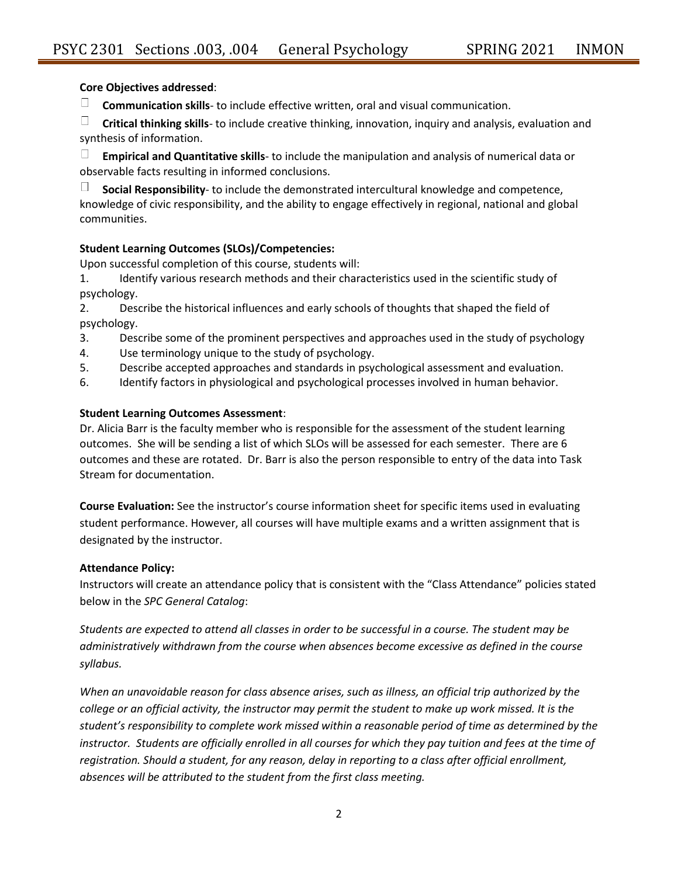#### **Core Objectives addressed**:

 $\Box$ **Communication skills**- to include effective written, oral and visual communication.

 $\Box$ **Critical thinking skills**- to include creative thinking, innovation, inquiry and analysis, evaluation and synthesis of information.

**Empirical and Quantitative skills**- to include the manipulation and analysis of numerical data or observable facts resulting in informed conclusions.

 $\Box$ **Social Responsibility**- to include the demonstrated intercultural knowledge and competence, knowledge of civic responsibility, and the ability to engage effectively in regional, national and global communities.

#### **Student Learning Outcomes (SLOs)/Competencies:**

Upon successful completion of this course, students will:

1. Identify various research methods and their characteristics used in the scientific study of psychology.

2. Describe the historical influences and early schools of thoughts that shaped the field of psychology.

- 3. Describe some of the prominent perspectives and approaches used in the study of psychology
- 4. Use terminology unique to the study of psychology.
- 5. Describe accepted approaches and standards in psychological assessment and evaluation.
- 6. Identify factors in physiological and psychological processes involved in human behavior.

#### **Student Learning Outcomes Assessment**:

Dr. Alicia Barr is the faculty member who is responsible for the assessment of the student learning outcomes. She will be sending a list of which SLOs will be assessed for each semester. There are 6 outcomes and these are rotated. Dr. Barr is also the person responsible to entry of the data into Task Stream for documentation.

**Course Evaluation:** See the instructor's course information sheet for specific items used in evaluating student performance. However, all courses will have multiple exams and a written assignment that is designated by the instructor.

#### **Attendance Policy:**

Instructors will create an attendance policy that is consistent with the "Class Attendance" policies stated below in the *SPC General Catalog*:

*Students are expected to attend all classes in order to be successful in a course. The student may be administratively withdrawn from the course when absences become excessive as defined in the course syllabus.*

*When an unavoidable reason for class absence arises, such as illness, an official trip authorized by the college or an official activity, the instructor may permit the student to make up work missed. It is the student's responsibility to complete work missed within a reasonable period of time as determined by the*  instructor. Students are officially enrolled in all courses for which they pay tuition and fees at the time of *registration. Should a student, for any reason, delay in reporting to a class after official enrollment, absences will be attributed to the student from the first class meeting.*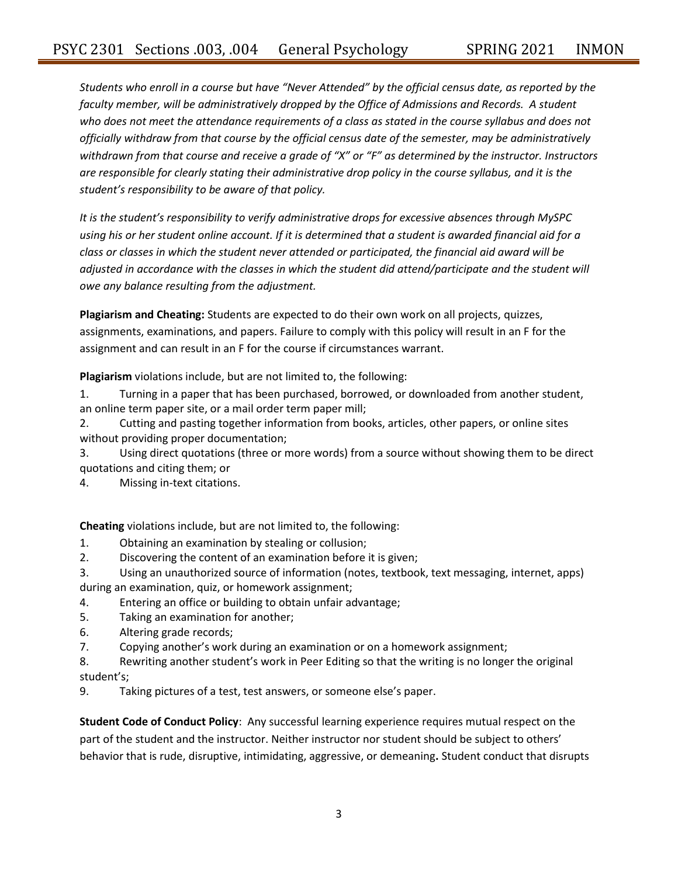*Students who enroll in a course but have "Never Attended" by the official census date, as reported by the faculty member, will be administratively dropped by the Office of Admissions and Records. A student who does not meet the attendance requirements of a class as stated in the course syllabus and does not officially withdraw from that course by the official census date of the semester, may be administratively withdrawn from that course and receive a grade of "X" or "F" as determined by the instructor. Instructors are responsible for clearly stating their administrative drop policy in the course syllabus, and it is the student's responsibility to be aware of that policy.* 

*It is the student's responsibility to verify administrative drops for excessive absences through MySPC using his or her student online account. If it is determined that a student is awarded financial aid for a class or classes in which the student never attended or participated, the financial aid award will be adjusted in accordance with the classes in which the student did attend/participate and the student will owe any balance resulting from the adjustment.*

**Plagiarism and Cheating:** Students are expected to do their own work on all projects, quizzes, assignments, examinations, and papers. Failure to comply with this policy will result in an F for the assignment and can result in an F for the course if circumstances warrant.

**Plagiarism** violations include, but are not limited to, the following:

1. Turning in a paper that has been purchased, borrowed, or downloaded from another student, an online term paper site, or a mail order term paper mill;

2. Cutting and pasting together information from books, articles, other papers, or online sites without providing proper documentation;

3. Using direct quotations (three or more words) from a source without showing them to be direct quotations and citing them; or

4. Missing in-text citations.

**Cheating** violations include, but are not limited to, the following:

- 1. Obtaining an examination by stealing or collusion;
- 2. Discovering the content of an examination before it is given;
- 3. Using an unauthorized source of information (notes, textbook, text messaging, internet, apps) during an examination, quiz, or homework assignment;
- 4. Entering an office or building to obtain unfair advantage;
- 5. Taking an examination for another;
- 6. Altering grade records;
- 7. Copying another's work during an examination or on a homework assignment;
- 8. Rewriting another student's work in Peer Editing so that the writing is no longer the original student's;

9. Taking pictures of a test, test answers, or someone else's paper.

**Student Code of Conduct Policy**: Any successful learning experience requires mutual respect on the part of the student and the instructor. Neither instructor nor student should be subject to others' behavior that is rude, disruptive, intimidating, aggressive, or demeaning**.** Student conduct that disrupts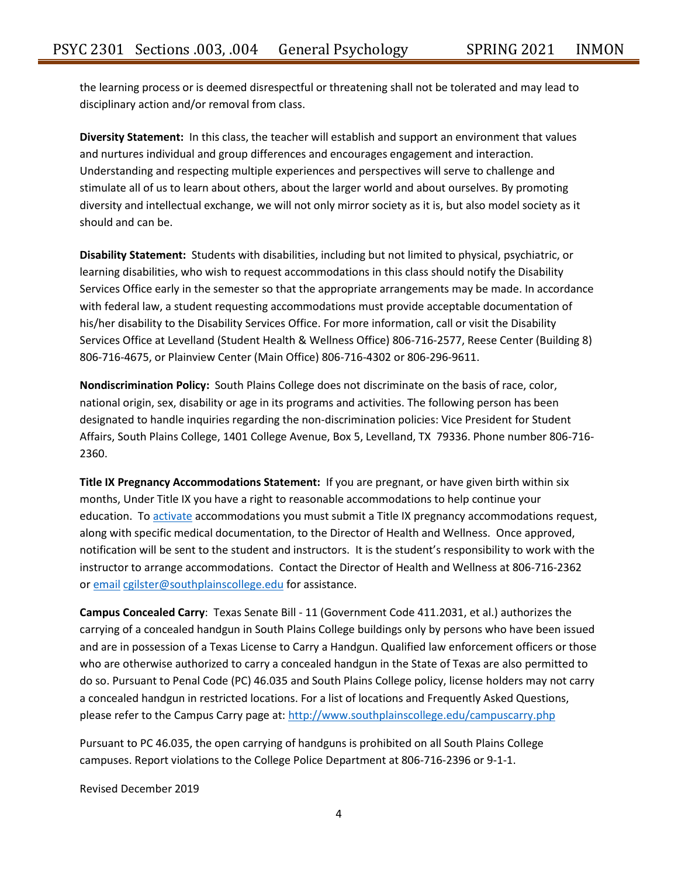the learning process or is deemed disrespectful or threatening shall not be tolerated and may lead to disciplinary action and/or removal from class.

**Diversity Statement:** In this class, the teacher will establish and support an environment that values and nurtures individual and group differences and encourages engagement and interaction. Understanding and respecting multiple experiences and perspectives will serve to challenge and stimulate all of us to learn about others, about the larger world and about ourselves. By promoting diversity and intellectual exchange, we will not only mirror society as it is, but also model society as it should and can be.

**Disability Statement:** Students with disabilities, including but not limited to physical, psychiatric, or learning disabilities, who wish to request accommodations in this class should notify the Disability Services Office early in the semester so that the appropriate arrangements may be made. In accordance with federal law, a student requesting accommodations must provide acceptable documentation of his/her disability to the Disability Services Office. For more information, call or visit the Disability Services Office at Levelland (Student Health & Wellness Office) 806-716-2577, Reese Center (Building 8) 806-716-4675, or Plainview Center (Main Office) 806-716-4302 or 806-296-9611.

**Nondiscrimination Policy:** South Plains College does not discriminate on the basis of race, color, national origin, sex, disability or age in its programs and activities. The following person has been designated to handle inquiries regarding the non-discrimination policies: Vice President for Student Affairs, South Plains College, 1401 College Avenue, Box 5, Levelland, TX 79336. Phone number 806-716- 2360.

**Title IX Pregnancy Accommodations Statement:** If you are pregnant, or have given birth within six months, Under Title IX you have a right to reasonable accommodations to help continue your education. To [activate](http://www.southplainscollege.edu/employees/manualshandbooks/facultyhandbook/sec4.php) accommodations you must submit a Title IX pregnancy accommodations request, along with specific medical documentation, to the Director of Health and Wellness. Once approved, notification will be sent to the student and instructors. It is the student's responsibility to work with the instructor to arrange accommodations. Contact the Director of Health and Wellness at 806-716-2362 or [email](http://www.southplainscollege.edu/employees/manualshandbooks/facultyhandbook/sec4.php) [cgilster@southplainscollege.edu](mailto:cgilster@southplainscollege.edu) for assistance.

**Campus Concealed Carry**: Texas Senate Bill - 11 (Government Code 411.2031, et al.) authorizes the carrying of a concealed handgun in South Plains College buildings only by persons who have been issued and are in possession of a Texas License to Carry a Handgun. Qualified law enforcement officers or those who are otherwise authorized to carry a concealed handgun in the State of Texas are also permitted to do so. Pursuant to Penal Code (PC) 46.035 and South Plains College policy, license holders may not carry a concealed handgun in restricted locations. For a list of locations and Frequently Asked Questions, please refer to the Campus Carry page at: <http://www.southplainscollege.edu/campuscarry.php>

Pursuant to PC 46.035, the open carrying of handguns is prohibited on all South Plains College campuses. Report violations to the College Police Department at 806-716-2396 or 9-1-1.

Revised December 2019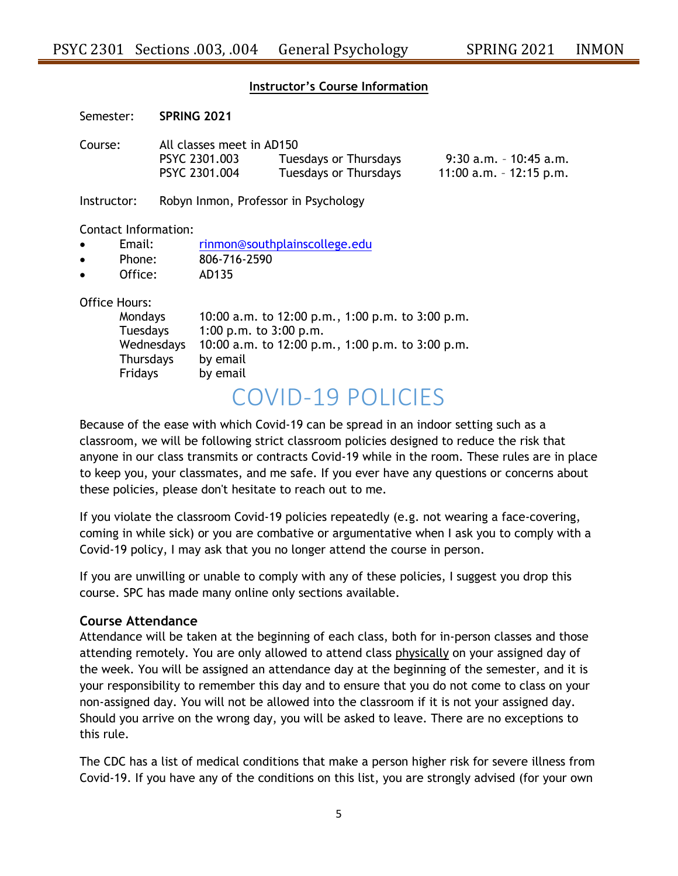#### **Instructor's Course Information**

Semester: **SPRING 2021**

Course: All classes meet in AD150 PSYC 2301.003 Tuesdays or Thursdays 9:30 a.m. – 10:45 a.m. PSYC 2301.004 Tuesdays or Thursdays 11:00 a.m. – 12:15 p.m.

Instructor: Robyn Inmon, Professor in Psychology

Contact Information:

- Email: [rinmon@southplainscollege.edu](mailto:rinmon@southplainscollege.edu)
- Phone: 806-716-2590
- Office: AD135

Office Hours:

| 10:00 a.m. to 12:00 p.m., 1:00 p.m. to 3:00 p.m. |
|--------------------------------------------------|
| 1:00 p.m. to $3:00$ p.m.                         |
| 10:00 a.m. to 12:00 p.m., 1:00 p.m. to 3:00 p.m. |
| by email                                         |
| by email                                         |
|                                                  |

# COVID-19 POLICIES

Because of the ease with which Covid-19 can be spread in an indoor setting such as a classroom, we will be following strict classroom policies designed to reduce the risk that anyone in our class transmits or contracts Covid-19 while in the room. These rules are in place to keep you, your classmates, and me safe. If you ever have any questions or concerns about these policies, please don't hesitate to reach out to me.

If you violate the classroom Covid-19 policies repeatedly (e.g. not wearing a face-covering, coming in while sick) or you are combative or argumentative when I ask you to comply with a Covid-19 policy, I may ask that you no longer attend the course in person.

If you are unwilling or unable to comply with any of these policies, I suggest you drop this course. SPC has made many online only sections available.

## **Course Attendance**

Attendance will be taken at the beginning of each class, both for in-person classes and those attending remotely. You are only allowed to attend class physically on your assigned day of the week. You will be assigned an attendance day at the beginning of the semester, and it is your responsibility to remember this day and to ensure that you do not come to class on your non-assigned day. You will not be allowed into the classroom if it is not your assigned day. Should you arrive on the wrong day, you will be asked to leave. There are no exceptions to this rule.

The CDC has a list of medical conditions that make a person higher risk for severe illness from Covid-19. If you have any of the conditions on this list, you are strongly advised (for your own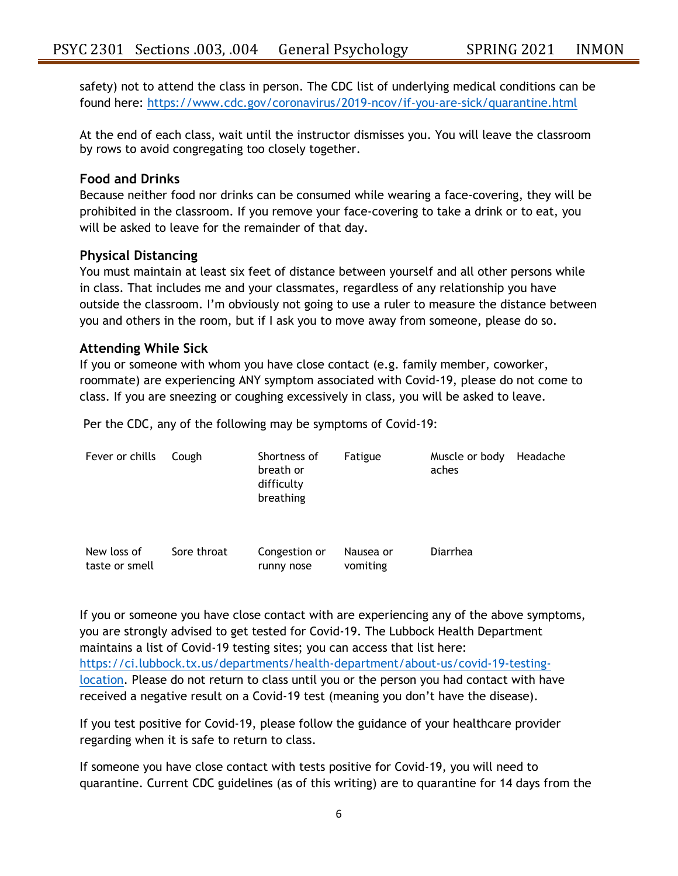safety) not to attend the class in person. The CDC list of underlying medical conditions can be found here:<https://www.cdc.gov/coronavirus/2019-ncov/if-you-are-sick/quarantine.html>

At the end of each class, wait until the instructor dismisses you. You will leave the classroom by rows to avoid congregating too closely together.

## **Food and Drinks**

Because neither food nor drinks can be consumed while wearing a face-covering, they will be prohibited in the classroom. If you remove your face-covering to take a drink or to eat, you will be asked to leave for the remainder of that day.

## **Physical Distancing**

You must maintain at least six feet of distance between yourself and all other persons while in class. That includes me and your classmates, regardless of any relationship you have outside the classroom. I'm obviously not going to use a ruler to measure the distance between you and others in the room, but if I ask you to move away from someone, please do so.

## **Attending While Sick**

If you or someone with whom you have close contact (e.g. family member, coworker, roommate) are experiencing ANY symptom associated with Covid-19, please do not come to class. If you are sneezing or coughing excessively in class, you will be asked to leave.

Per the CDC, any of the following may be symptoms of Covid-19:

| Fever or chills               | Cough       | Shortness of<br>breath or<br>difficulty<br>breathing | Fatigue               | Muscle or body<br>aches | Headache |
|-------------------------------|-------------|------------------------------------------------------|-----------------------|-------------------------|----------|
| New loss of<br>taste or smell | Sore throat | Congestion or<br>runny nose                          | Nausea or<br>vomiting | Diarrhea                |          |

If you or someone you have close contact with are experiencing any of the above symptoms, you are strongly advised to get tested for Covid-19. The Lubbock Health Department maintains a list of Covid-19 testing sites; you can access that list here: [https://ci.lubbock.tx.us/departments/health-department/about-us/covid-19-testing](https://ci.lubbock.tx.us/departments/health-department/about-us/covid-19-testing-location)[location.](https://ci.lubbock.tx.us/departments/health-department/about-us/covid-19-testing-location) Please do not return to class until you or the person you had contact with have received a negative result on a Covid-19 test (meaning you don't have the disease).

If you test positive for Covid-19, please follow the guidance of your healthcare provider regarding when it is safe to return to class.

If someone you have close contact with tests positive for Covid-19, you will need to quarantine. Current CDC guidelines (as of this writing) are to quarantine for 14 days from the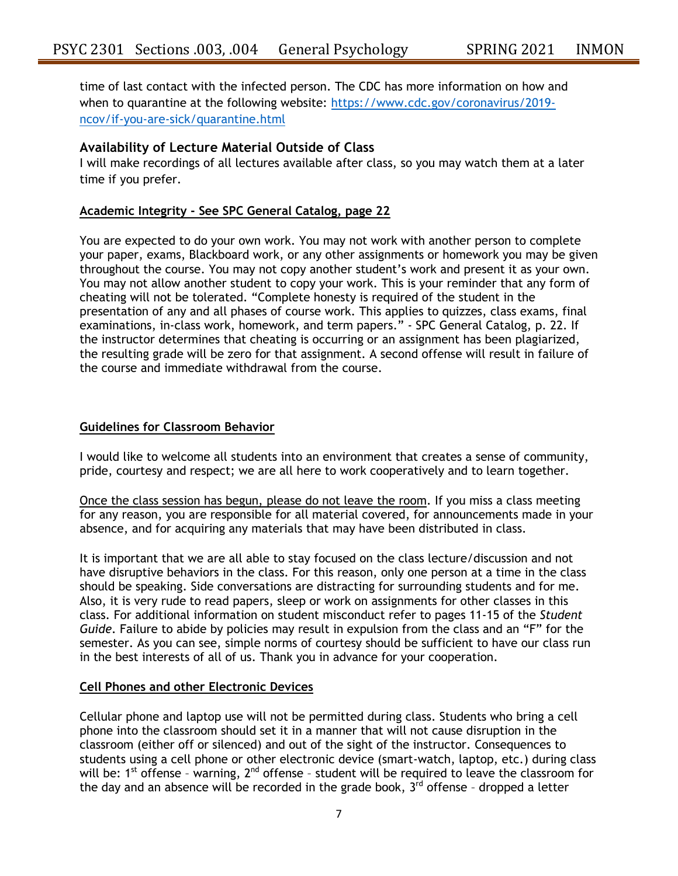time of last contact with the infected person. The CDC has more information on how and when to quarantine at the following website: [https://www.cdc.gov/coronavirus/2019](https://www.cdc.gov/coronavirus/2019-ncov/if-you-are-sick/quarantine.html) [ncov/if-you-are-sick/quarantine.html](https://www.cdc.gov/coronavirus/2019-ncov/if-you-are-sick/quarantine.html)

## **Availability of Lecture Material Outside of Class**

I will make recordings of all lectures available after class, so you may watch them at a later time if you prefer.

## **Academic Integrity - See SPC General Catalog, page 22**

You are expected to do your own work. You may not work with another person to complete your paper, exams, Blackboard work, or any other assignments or homework you may be given throughout the course. You may not copy another student's work and present it as your own. You may not allow another student to copy your work. This is your reminder that any form of cheating will not be tolerated. "Complete honesty is required of the student in the presentation of any and all phases of course work. This applies to quizzes, class exams, final examinations, in-class work, homework, and term papers." - SPC General Catalog, p. 22. If the instructor determines that cheating is occurring or an assignment has been plagiarized, the resulting grade will be zero for that assignment. A second offense will result in failure of the course and immediate withdrawal from the course.

#### **Guidelines for Classroom Behavior**

I would like to welcome all students into an environment that creates a sense of community, pride, courtesy and respect; we are all here to work cooperatively and to learn together.

Once the class session has begun, please do not leave the room. If you miss a class meeting for any reason, you are responsible for all material covered, for announcements made in your absence, and for acquiring any materials that may have been distributed in class.

It is important that we are all able to stay focused on the class lecture/discussion and not have disruptive behaviors in the class. For this reason, only one person at a time in the class should be speaking. Side conversations are distracting for surrounding students and for me. Also, it is very rude to read papers, sleep or work on assignments for other classes in this class. For additional information on student misconduct refer to pages 11-15 of the *Student Guide*. Failure to abide by policies may result in expulsion from the class and an "F" for the semester. As you can see, simple norms of courtesy should be sufficient to have our class run in the best interests of all of us. Thank you in advance for your cooperation.

## **Cell Phones and other Electronic Devices**

Cellular phone and laptop use will not be permitted during class. Students who bring a cell phone into the classroom should set it in a manner that will not cause disruption in the classroom (either off or silenced) and out of the sight of the instructor. Consequences to students using a cell phone or other electronic device (smart-watch, laptop, etc.) during class will be: 1<sup>st</sup> offense - warning, 2<sup>nd</sup> offense - student will be required to leave the classroom for the day and an absence will be recorded in the grade book,  $3<sup>rd</sup>$  offense - dropped a letter